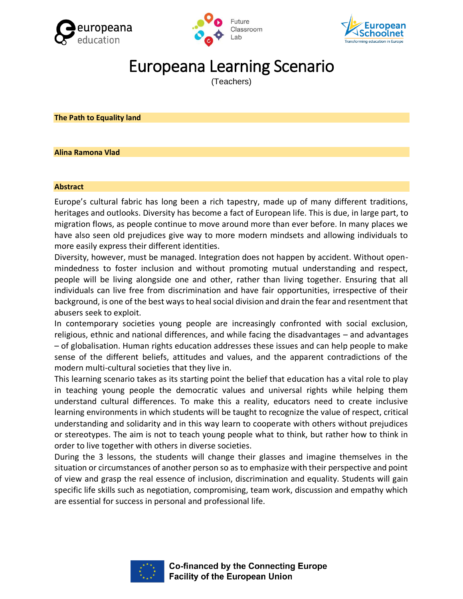





# Europeana Learning Scenario

(Teachers)

**The Path to Equality land**

#### **Alina Ramona Vlad**

#### **Abstract**

Europe's cultural fabric has long been a rich tapestry, made up of many different traditions, heritages and outlooks. Diversity has become a fact of European life. This is due, in large part, to migration flows, as people continue to move around more than ever before. In many places we have also seen old prejudices give way to more modern mindsets and allowing individuals to more easily express their different identities.

Diversity, however, must be managed. Integration does not happen by accident. Without openmindedness to foster inclusion and without promoting mutual understanding and respect, people will be living alongside one and other, rather than living together. Ensuring that all individuals can live free from discrimination and have fair opportunities, irrespective of their background, is one of the best ways to heal social division and drain the fear and resentment that abusers seek to exploit.

In contemporary societies young people are increasingly confronted with social exclusion, religious, ethnic and national differences, and while facing the disadvantages – and advantages – of globalisation. Human rights education addresses these issues and can help people to make sense of the different beliefs, attitudes and values, and the apparent contradictions of the modern multi-cultural societies that they live in.

This learning scenario takes as its starting point the belief that education has a vital role to play in teaching young people the democratic values and universal rights while helping them understand cultural differences. To make this a reality, educators need to create inclusive learning environments in which students will be taught to recognize the value of respect, critical understanding and solidarity and in this way learn to cooperate with others without prejudices or stereotypes. The aim is not to teach young people what to think, but rather how to think in order to live together with others in diverse societies.

During the 3 lessons, the students will change their glasses and imagine themselves in the situation or circumstances of another person so as to emphasize with their perspective and point of view and grasp the real essence of inclusion, discrimination and equality. Students will gain specific life skills such as negotiation, compromising, team work, discussion and empathy which are essential for success in personal and professional life.

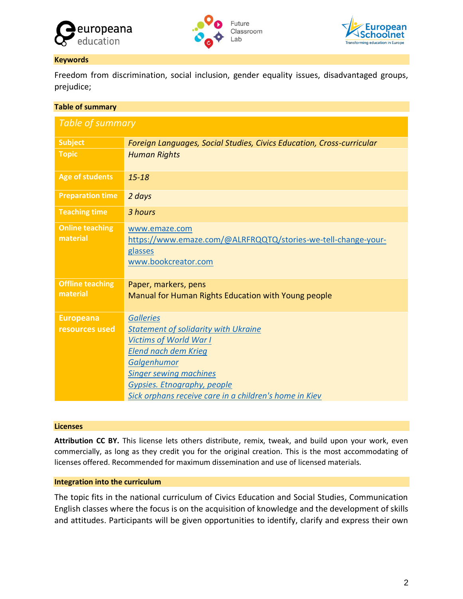





### **Keywords**

Freedom from discrimination, social inclusion, gender equality issues, disadvantaged groups, prejudice;

| <b>Table of summary</b>             |                                                                                                                  |  |  |  |
|-------------------------------------|------------------------------------------------------------------------------------------------------------------|--|--|--|
| Table of summary                    |                                                                                                                  |  |  |  |
| <b>Subject</b>                      | Foreign Languages, Social Studies, Civics Education, Cross-curricular                                            |  |  |  |
| <b>Topic</b>                        | <b>Human Rights</b>                                                                                              |  |  |  |
| <b>Age of students</b>              | $15 - 18$                                                                                                        |  |  |  |
| <b>Preparation time</b>             | 2 days                                                                                                           |  |  |  |
| <b>Teaching time</b>                | 3 hours                                                                                                          |  |  |  |
| <b>Online teaching</b><br>material  | www.emaze.com<br>https://www.emaze.com/@ALRFRQQTQ/stories-we-tell-change-your-<br>glasses<br>www.bookcreator.com |  |  |  |
| <b>Offline teaching</b><br>material | Paper, markers, pens<br>Manual for Human Rights Education with Young people                                      |  |  |  |
| <b>Europeana</b>                    | <b>Galleries</b>                                                                                                 |  |  |  |
| resources used                      | <b>Statement of solidarity with Ukraine</b>                                                                      |  |  |  |
|                                     | <b>Victims of World War I</b>                                                                                    |  |  |  |
|                                     | <b>Elend nach dem Krieg</b><br>Galgenhumor                                                                       |  |  |  |
|                                     | <b>Singer sewing machines</b>                                                                                    |  |  |  |
|                                     | Gypsies. Etnography, people                                                                                      |  |  |  |
|                                     | Sick orphans receive care in a children's home in Kiev                                                           |  |  |  |

#### **Licenses**

**Attribution CC BY.** This license lets others distribute, remix, tweak, and build upon your work, even commercially, as long as they credit you for the original creation. This is the most accommodating of licenses offered. Recommended for maximum dissemination and use of licensed materials.

## **Integration into the curriculum**

The topic fits in the national curriculum of Civics Education and Social Studies, Communication English classes where the focus is on the acquisition of knowledge and the development of skills and attitudes. Participants will be given opportunities to identify, clarify and express their own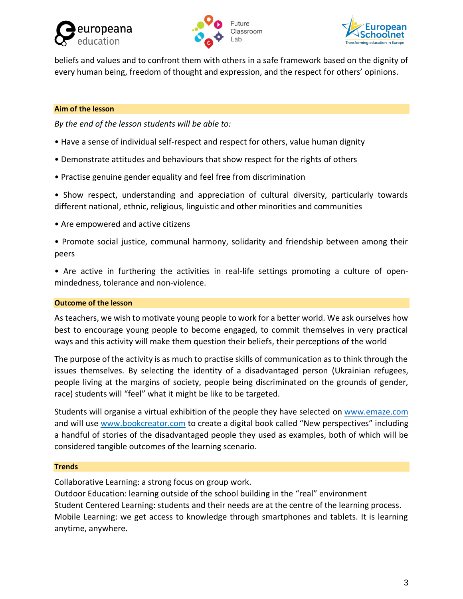





beliefs and values and to confront them with others in a safe framework based on the dignity of every human being, freedom of thought and expression, and the respect for others' opinions.

## **Aim of the lesson**

*By the end of the lesson students will be able to:*

- Have a sense of individual self-respect and respect for others, value human dignity
- Demonstrate attitudes and behaviours that show respect for the rights of others
- Practise genuine gender equality and feel free from discrimination

• Show respect, understanding and appreciation of cultural diversity, particularly towards different national, ethnic, religious, linguistic and other minorities and communities

• Are empowered and active citizens

• Promote social justice, communal harmony, solidarity and friendship between among their peers

• Are active in furthering the activities in real-life settings promoting a culture of openmindedness, tolerance and non-violence.

### **Outcome of the lesson**

As teachers, we wish to motivate young people to work for a better world. We ask ourselves how best to encourage young people to become engaged, to commit themselves in very practical ways and this activity will make them question their beliefs, their perceptions of the world

The purpose of the activity is as much to practise skills of communication as to think through the issues themselves. By selecting the identity of a disadvantaged person (Ukrainian refugees, people living at the margins of society, people being discriminated on the grounds of gender, race) students will "feel" what it might be like to be targeted.

Students will organise a virtual exhibition of the people they have selected on [www.emaze.com](http://www.emaze.com/) and will use www.bookcreator.com to create a digital book called "New perspectives" including a handful of stories of the disadvantaged people they used as examples, both of which will be considered tangible outcomes of the learning scenario.

#### **Trends**

Collaborative Learning: a strong focus on group work.

Outdoor Education: learning outside of the school building in the "real" environment Student Centered Learning: students and their needs are at the centre of the learning process. Mobile Learning: we get access to knowledge through smartphones and tablets. It is learning anytime, anywhere.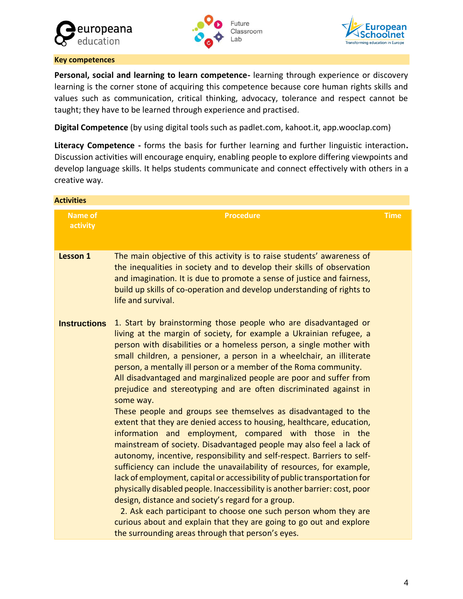





#### **Key competences**

**Personal, social and learning to learn competence-** learning through experience or discovery learning is the corner stone of acquiring this competence because core human rights skills and values such as communication, critical thinking, advocacy, tolerance and respect cannot be taught; they have to be learned through experience and practised.

**Digital Competence** (by using digital tools such as padlet.com, kahoot.it, app.wooclap.com)

**Literacy Competence -** forms the basis for further learning and further linguistic interaction**.** Discussion activities will encourage enquiry, enabling people to explore differing viewpoints and develop language skills. It helps students communicate and connect effectively with others in a creative way.

| <b>Activities</b>          |                                                                                                                                                                                                                                                                                                                                                                                                                                                                                                                                                                                                                                                                                                                                                                                                                                                                                                                                                                                                                                                                                                                                                                                                                                                                                                                                                                   |             |
|----------------------------|-------------------------------------------------------------------------------------------------------------------------------------------------------------------------------------------------------------------------------------------------------------------------------------------------------------------------------------------------------------------------------------------------------------------------------------------------------------------------------------------------------------------------------------------------------------------------------------------------------------------------------------------------------------------------------------------------------------------------------------------------------------------------------------------------------------------------------------------------------------------------------------------------------------------------------------------------------------------------------------------------------------------------------------------------------------------------------------------------------------------------------------------------------------------------------------------------------------------------------------------------------------------------------------------------------------------------------------------------------------------|-------------|
| <b>Name of</b><br>activity | <b>Procedure</b>                                                                                                                                                                                                                                                                                                                                                                                                                                                                                                                                                                                                                                                                                                                                                                                                                                                                                                                                                                                                                                                                                                                                                                                                                                                                                                                                                  | <b>Time</b> |
| Lesson 1                   | The main objective of this activity is to raise students' awareness of<br>the inequalities in society and to develop their skills of observation<br>and imagination. It is due to promote a sense of justice and fairness,<br>build up skills of co-operation and develop understanding of rights to<br>life and survival.                                                                                                                                                                                                                                                                                                                                                                                                                                                                                                                                                                                                                                                                                                                                                                                                                                                                                                                                                                                                                                        |             |
| <b>Instructions</b>        | 1. Start by brainstorming those people who are disadvantaged or<br>living at the margin of society, for example a Ukrainian refugee, a<br>person with disabilities or a homeless person, a single mother with<br>small children, a pensioner, a person in a wheelchair, an illiterate<br>person, a mentally ill person or a member of the Roma community.<br>All disadvantaged and marginalized people are poor and suffer from<br>prejudice and stereotyping and are often discriminated against in<br>some way.<br>These people and groups see themselves as disadvantaged to the<br>extent that they are denied access to housing, healthcare, education,<br>information and employment, compared with those in the<br>mainstream of society. Disadvantaged people may also feel a lack of<br>autonomy, incentive, responsibility and self-respect. Barriers to self-<br>sufficiency can include the unavailability of resources, for example,<br>lack of employment, capital or accessibility of public transportation for<br>physically disabled people. Inaccessibility is another barrier: cost, poor<br>design, distance and society's regard for a group.<br>2. Ask each participant to choose one such person whom they are<br>curious about and explain that they are going to go out and explore<br>the surrounding areas through that person's eyes. |             |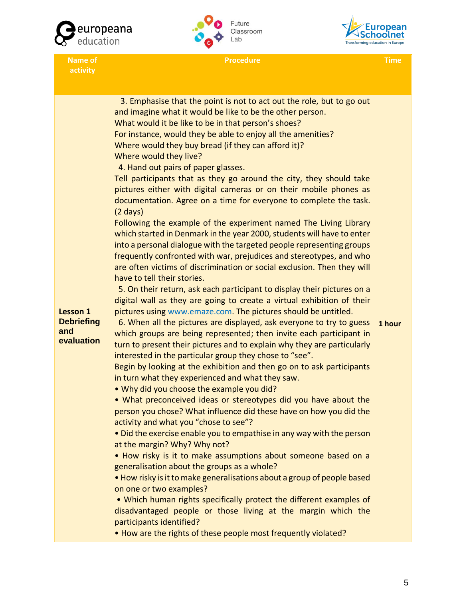





**Procedure Time**

**activity**

| <b>Lesson 1</b><br><b>Debriefing</b><br>and<br>evaluation | 3. Emphasise that the point is not to act out the role, but to go out<br>and imagine what it would be like to be the other person.<br>What would it be like to be in that person's shoes?<br>For instance, would they be able to enjoy all the amenities?<br>Where would they buy bread (if they can afford it)?<br>Where would they live?<br>4. Hand out pairs of paper glasses.<br>Tell participants that as they go around the city, they should take<br>pictures either with digital cameras or on their mobile phones as<br>documentation. Agree on a time for everyone to complete the task.<br>$(2 \text{ days})$<br>Following the example of the experiment named The Living Library<br>which started in Denmark in the year 2000, students will have to enter<br>into a personal dialogue with the targeted people representing groups<br>frequently confronted with war, prejudices and stereotypes, and who<br>are often victims of discrimination or social exclusion. Then they will<br>have to tell their stories.<br>5. On their return, ask each participant to display their pictures on a<br>digital wall as they are going to create a virtual exhibition of their<br>pictures using www.emaze.com. The pictures should be untitled.<br>6. When all the pictures are displayed, ask everyone to try to guess<br>which groups are being represented; then invite each participant in | 1 hour |
|-----------------------------------------------------------|--------------------------------------------------------------------------------------------------------------------------------------------------------------------------------------------------------------------------------------------------------------------------------------------------------------------------------------------------------------------------------------------------------------------------------------------------------------------------------------------------------------------------------------------------------------------------------------------------------------------------------------------------------------------------------------------------------------------------------------------------------------------------------------------------------------------------------------------------------------------------------------------------------------------------------------------------------------------------------------------------------------------------------------------------------------------------------------------------------------------------------------------------------------------------------------------------------------------------------------------------------------------------------------------------------------------------------------------------------------------------------------------------------|--------|
|                                                           | turn to present their pictures and to explain why they are particularly<br>interested in the particular group they chose to "see".<br>Begin by looking at the exhibition and then go on to ask participants                                                                                                                                                                                                                                                                                                                                                                                                                                                                                                                                                                                                                                                                                                                                                                                                                                                                                                                                                                                                                                                                                                                                                                                            |        |
|                                                           | in turn what they experienced and what they saw.<br>. Why did you choose the example you did?                                                                                                                                                                                                                                                                                                                                                                                                                                                                                                                                                                                                                                                                                                                                                                                                                                                                                                                                                                                                                                                                                                                                                                                                                                                                                                          |        |
|                                                           | • What preconceived ideas or stereotypes did you have about the<br>person you chose? What influence did these have on how you did the<br>activity and what you "chose to see"?                                                                                                                                                                                                                                                                                                                                                                                                                                                                                                                                                                                                                                                                                                                                                                                                                                                                                                                                                                                                                                                                                                                                                                                                                         |        |
|                                                           | • Did the exercise enable you to empathise in any way with the person                                                                                                                                                                                                                                                                                                                                                                                                                                                                                                                                                                                                                                                                                                                                                                                                                                                                                                                                                                                                                                                                                                                                                                                                                                                                                                                                  |        |
|                                                           | at the margin? Why? Why not?                                                                                                                                                                                                                                                                                                                                                                                                                                                                                                                                                                                                                                                                                                                                                                                                                                                                                                                                                                                                                                                                                                                                                                                                                                                                                                                                                                           |        |
|                                                           | • How risky is it to make assumptions about someone based on a<br>generalisation about the groups as a whole?                                                                                                                                                                                                                                                                                                                                                                                                                                                                                                                                                                                                                                                                                                                                                                                                                                                                                                                                                                                                                                                                                                                                                                                                                                                                                          |        |
|                                                           | • How risky is it to make generalisations about a group of people based<br>on one or two examples?                                                                                                                                                                                                                                                                                                                                                                                                                                                                                                                                                                                                                                                                                                                                                                                                                                                                                                                                                                                                                                                                                                                                                                                                                                                                                                     |        |
|                                                           | • Which human rights specifically protect the different examples of<br>disadvantaged people or those living at the margin which the<br>participants identified?                                                                                                                                                                                                                                                                                                                                                                                                                                                                                                                                                                                                                                                                                                                                                                                                                                                                                                                                                                                                                                                                                                                                                                                                                                        |        |

• How are the rights of these people most frequently violated?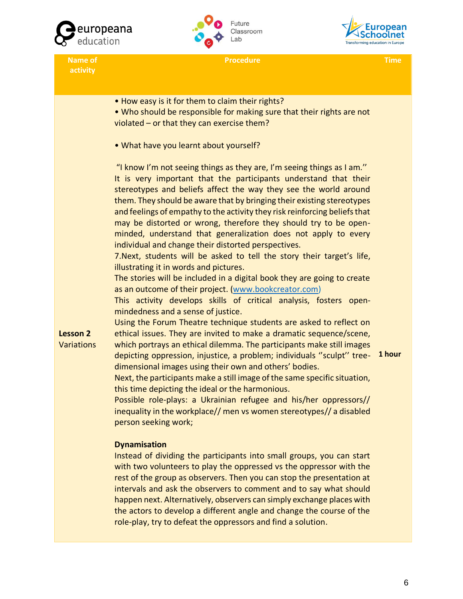





**Name of activity**

**Procedure Time**

**Lesson 2 Variations** • How easy is it for them to claim their rights? • Who should be responsible for making sure that their rights are not violated – or that they can exercise them? • What have you learnt about yourself? "I know I'm not seeing things as they are, I'm seeing things as I am.'' It is very important that the participants understand that their stereotypes and beliefs affect the way they see the world around them. They should be aware that by bringing their existing stereotypes and feelings of empathy to the activity they risk reinforcing beliefs that may be distorted or wrong, therefore they should try to be openminded, understand that generalization does not apply to every individual and change their distorted perspectives. 7.Next, students will be asked to tell the story their target's life, illustrating it in words and pictures. The stories will be included in a digital book they are going to create as an outcome of their project. [\(www.bookcreator.com\)](http://www.bookcreator.com/) This activity develops skills of critical analysis, fosters openmindedness and a sense of justice. Using the Forum Theatre technique students are asked to reflect on ethical issues. They are invited to make a dramatic sequence/scene, which portrays an ethical dilemma. The participants make still images depicting oppression, injustice, a problem; individuals ''sculpt'' treedimensional images using their own and others' bodies. Next, the participants make a still image of the same specific situation, this time depicting the ideal or the harmonious. Possible role-plays: a Ukrainian refugee and his/her oppressors// inequality in the workplace// men vs women stereotypes// a disabled person seeking work; **Dynamisation** Instead of dividing the participants into small groups, you can start **1 hour**

with two volunteers to play the oppressed vs the oppressor with the rest of the group as observers. Then you can stop the presentation at intervals and ask the observers to comment and to say what should happen next. Alternatively, observers can simply exchange places with the actors to develop a different angle and change the course of the role-play, try to defeat the oppressors and find a solution.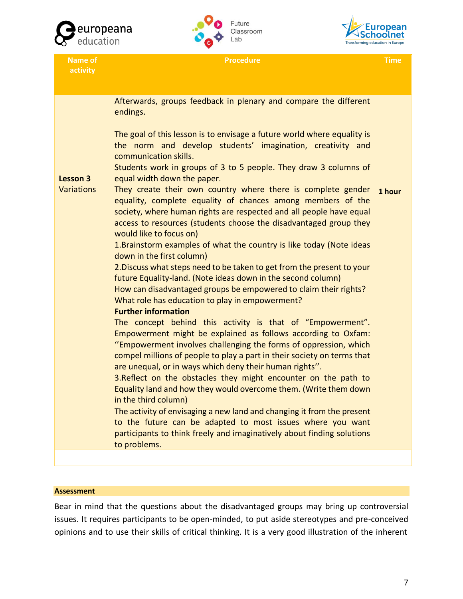

**Name of activity**





**Procedure Time**

**Lesson 3 Variations** Afterwards, groups feedback in plenary and compare the different endings. The goal of this lesson is to envisage a future world where equality is the norm and develop students' imagination, creativity and communication skills. Students work in groups of 3 to 5 people. They draw 3 columns of equal width down the paper. They create their own country where there is complete gender equality, complete equality of chances among members of the society, where human rights are respected and all people have equal access to resources (students choose the disadvantaged group they would like to focus on) 1.Brainstorm examples of what the country is like today (Note ideas down in the first column) 2.Discuss what steps need to be taken to get from the present to your future Equality-land. (Note ideas down in the second column) How can disadvantaged groups be empowered to claim their rights? What role has education to play in empowerment? **Further information** The concept behind this activity is that of "Empowerment". Empowerment might be explained as follows according to Oxfam: ''Empowerment involves challenging the forms of oppression, which compel millions of people to play a part in their society on terms that are unequal, or in ways which deny their human rights''. 3.Reflect on the obstacles they might encounter on the path to Equality land and how they would overcome them. (Write them down in the third column) The activity of envisaging a new land and changing it from the present to the future can be adapted to most issues where you want participants to think freely and imaginatively about finding solutions to problems. **1 hour**

#### **Assessment**

Bear in mind that the questions about the disadvantaged groups may bring up controversial issues. It requires participants to be open-minded, to put aside stereotypes and pre-conceived opinions and to use their skills of critical thinking. It is a very good illustration of the inherent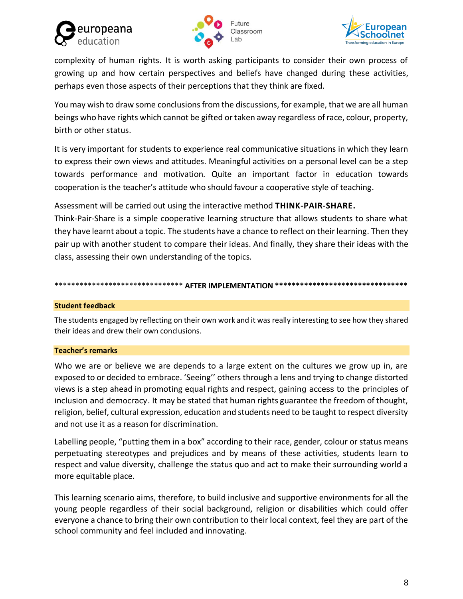





complexity of human rights. It is worth asking participants to consider their own process of growing up and how certain perspectives and beliefs have changed during these activities, perhaps even those aspects of their perceptions that they think are fixed.

You may wish to draw some conclusions from the discussions, for example, that we are all human beings who have rights which cannot be gifted or taken away regardless of race, colour, property, birth or other status.

It is very important for students to experience real communicative situations in which they learn to express their own views and attitudes. Meaningful activities on a personal level can be a step towards performance and motivation. Quite an important factor in education towards cooperation is the teacher's attitude who should favour a cooperative style of teaching.

Assessment will be carried out using the interactive method **THINK-PAIR-SHARE.**

Think-Pair-Share is a simple cooperative learning structure that allows students to share what they have learnt about a topic. The students have a chance to reflect on their learning. Then they pair up with another student to compare their ideas. And finally, they share their ideas with the class, assessing their own understanding of the topics.

## \*\*\*\*\*\*\*\*\*\*\*\*\*\*\* AFTER IMPLEMENTATION \*\*\*\*\*\*\*\*\*

#### **Student feedback**

The students engaged by reflecting on their own work and it was really interesting to see how they shared their ideas and drew their own conclusions.

#### **Teacher's remarks**

Who we are or believe we are depends to a large extent on the cultures we grow up in, are exposed to or decided to embrace. 'Seeing'' others through a lens and trying to change distorted views is a step ahead in promoting equal rights and respect, gaining access to the principles of inclusion and democracy. It may be stated that human rights guarantee the freedom of thought, religion, belief, cultural expression, education and students need to be taught to respect diversity and not use it as a reason for discrimination.

Labelling people, "putting them in a box" according to their race, gender, colour or status means perpetuating stereotypes and prejudices and by means of these activities, students learn to respect and value diversity, challenge the status quo and act to make their surrounding world a more equitable place.

This learning scenario aims, therefore, to build inclusive and supportive environments for all the young people regardless of their social background, religion or disabilities which could offer everyone a chance to bring their own contribution to their local context, feel they are part of the school community and feel included and innovating.